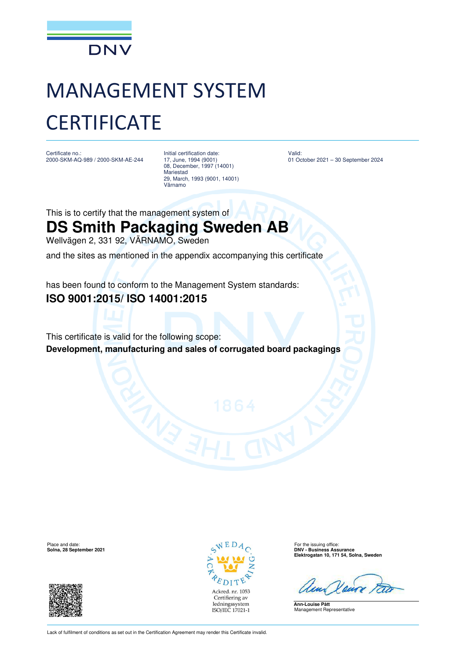

# MANAGEMENT SYSTEM **CERTIFICATE**

Certificate no.: 2000-SKM-AQ-989 / 2000-SKM-AE-244 Initial certification date: 17, June, 1994 (9001) 08, December, 1997 (14001) Mariestad 29, March, 1993 (9001, 14001) Värnamo

Valid: 01 October 2021 – 30 September 2024

This is to certify that the management system of

## **DS Smith Packaging Sweden AB**

Wellvägen 2, 331 92, VÄRNAMO, Sweden

and the sites as mentioned in the appendix accompanying this certificate

has been found to conform to the Management System standards:

### **ISO 9001:2015/ ISO 14001:2015**

This certificate is valid for the following scope: **Development, manufacturing and sales of corrugated board packagings** 





Place and date: For the issuing office: **Solna, 28 September 2021 DNV - Business Assurance Elektrogatan 10, 171 54, Solna, Sweden**

**Ann-Louise Pått** Management Representative